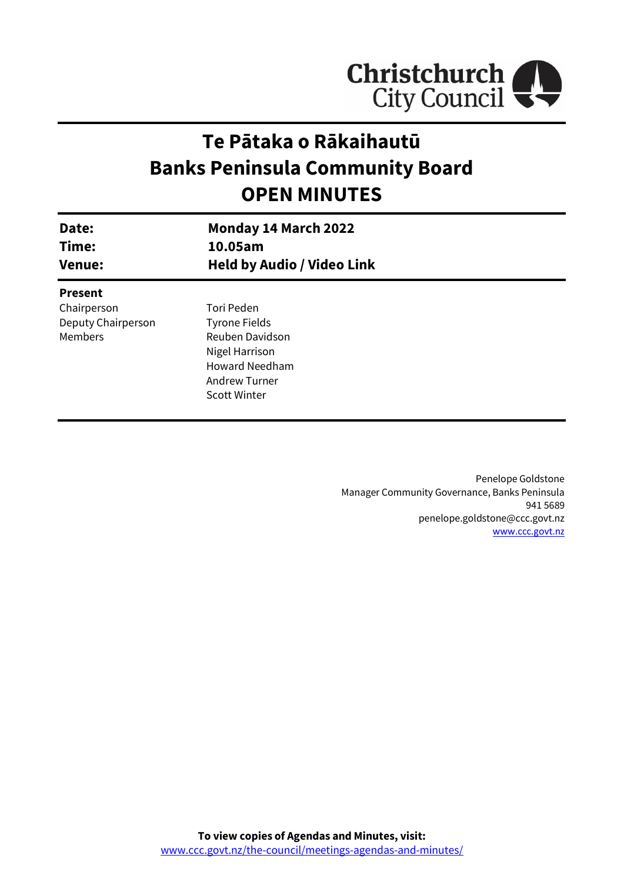

# **Te Pātaka o Rākaihautū Banks Peninsula Community Board OPEN MINUTES**

| Date:<br>Time:<br><b>Venue:</b> | <b>Monday 14 March 2022</b><br>10.05am<br><b>Held by Audio / Video Link</b> |  |
|---------------------------------|-----------------------------------------------------------------------------|--|
| <b>Present</b>                  |                                                                             |  |
| Chairperson                     | Tori Peden                                                                  |  |
| Deputy Chairperson              | <b>Tyrone Fields</b>                                                        |  |
| Members                         | Reuben Davidson                                                             |  |
|                                 | Nigel Harrison                                                              |  |
|                                 | <b>Howard Needham</b>                                                       |  |
|                                 | <b>Andrew Turner</b>                                                        |  |
|                                 | <b>Scott Winter</b>                                                         |  |
|                                 |                                                                             |  |

Penelope Goldstone Manager Community Governance, Banks Peninsula 941 5689 penelope.goldstone@ccc.govt.nz [www.ccc.govt.nz](http://www.ccc.govt.nz/)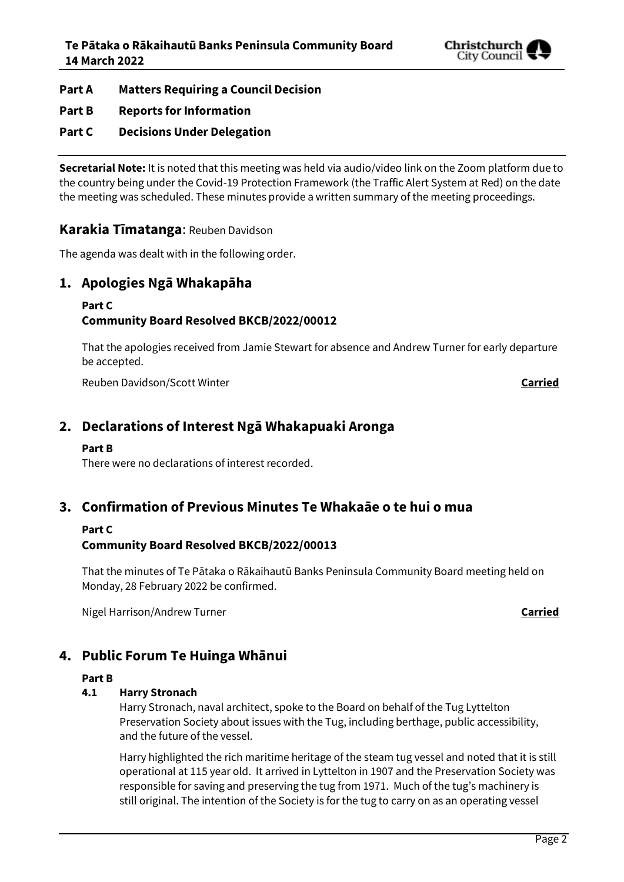

**Part A Matters Requiring a Council Decision**

### **Part B Reports for Information**

### **Part C Decisions Under Delegation**

**Secretarial Note:** It is noted that this meeting was held via audio/video link on the Zoom platform due to the country being under the Covid-19 Protection Framework (the Traffic Alert System at Red) on the date the meeting was scheduled. These minutes provide a written summary of the meeting proceedings.

### **Karakia Tīmatanga**: Reuben Davidson

The agenda was dealt with in the following order.

### **1. Apologies Ngā Whakapāha**

#### **Part C**

### **Community Board Resolved BKCB/2022/00012**

That the apologies received from Jamie Stewart for absence and Andrew Turner for early departure be accepted.

Reuben Davidson/Scott Winter **Carried**

### **2. Declarations of Interest Ngā Whakapuaki Aronga**

### **Part B**

There were no declarations of interest recorded.

### **3. Confirmation of Previous Minutes Te Whakaāe o te hui o mua**

### **Part C**

### **Community Board Resolved BKCB/2022/00013**

That the minutes of Te Pātaka o Rākaihautū Banks Peninsula Community Board meeting held on Monday, 28 February 2022 be confirmed.

Nigel Harrison/Andrew Turner **Carried**

# **4. Public Forum Te Huinga Whānui**

### **Part B**

### **4.1 Harry Stronach**

Harry Stronach, naval architect, spoke to the Board on behalf of the Tug Lyttelton Preservation Society about issues with the Tug, including berthage, public accessibility, and the future of the vessel.

Harry highlighted the rich maritime heritage of the steam tug vessel and noted that it is still operational at 115 year old. It arrived in Lyttelton in 1907 and the Preservation Society was responsible for saving and preserving the tug from 1971. Much of the tug's machinery is still original. The intention of the Society is for the tug to carry on as an operating vessel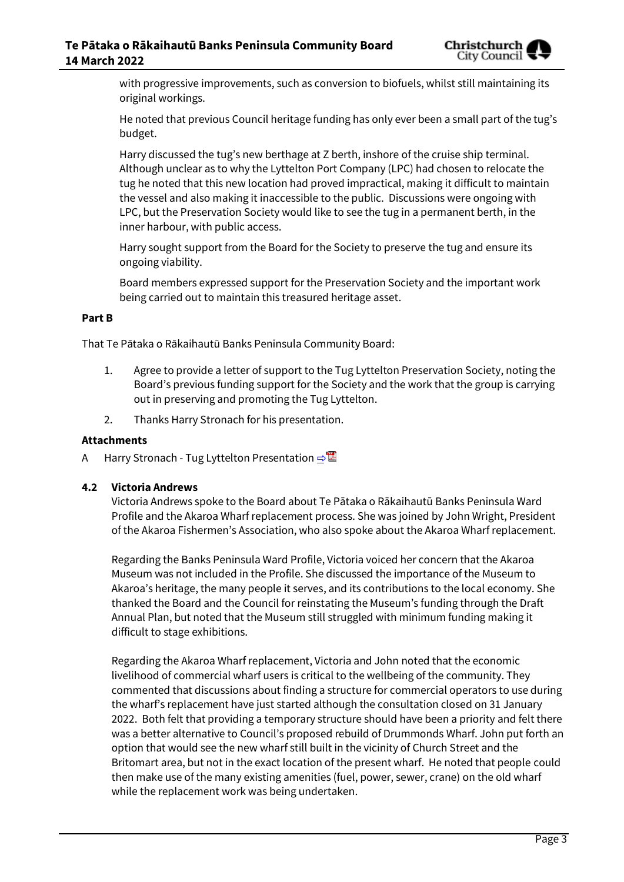

with progressive improvements, such as conversion to biofuels, whilst still maintaining its original workings.

He noted that previous Council heritage funding has only ever been a small part of the tug's budget.

Harry discussed the tug's new berthage at Z berth, inshore of the cruise ship terminal. Although unclear as to why the Lyttelton Port Company (LPC) had chosen to relocate the tug he noted that this new location had proved impractical, making it difficult to maintain the vessel and also making it inaccessible to the public. Discussions were ongoing with LPC, but the Preservation Society would like to see the tug in a permanent berth, in the inner harbour, with public access.

Harry sought support from the Board for the Society to preserve the tug and ensure its ongoing viability.

Board members expressed support for the Preservation Society and the important work being carried out to maintain this treasured heritage asset.

#### **Part B**

That Te Pātaka o Rākaihautū Banks Peninsula Community Board:

- 1. Agree to provide a letter of support to the Tug Lyttelton Preservation Society, noting the Board's previous funding support for the Society and the work that the group is carrying out in preserving and promoting the Tug Lyttelton.
- 2. Thanks Harry Stronach for his presentation.

#### **Attachments**

A Harry Stronach - Tug Lyttelton Presentation **[⇨](../../../RedirectToInvalidFileName.aspx?FileName=BKCB_20220314_MAT_7654.PDF#PAGE=3)</u>** 

### **4.2 Victoria Andrews**

Victoria Andrews spoke to the Board about Te Pātaka o Rākaihautū Banks Peninsula Ward Profile and the Akaroa Wharf replacement process. She was joined by John Wright, President of the Akaroa Fishermen's Association, who also spoke about the Akaroa Wharf replacement.

Regarding the Banks Peninsula Ward Profile, Victoria voiced her concern that the Akaroa Museum was not included in the Profile. She discussed the importance of the Museum to Akaroa's heritage, the many people it serves, and its contributions to the local economy. She thanked the Board and the Council for reinstating the Museum's funding through the Draft Annual Plan, but noted that the Museum still struggled with minimum funding making it difficult to stage exhibitions.

Regarding the Akaroa Wharf replacement, Victoria and John noted that the economic livelihood of commercial wharf users is critical to the wellbeing of the community. They commented that discussions about finding a structure for commercial operators to use during the wharf's replacement have just started although the consultation closed on 31 January 2022. Both felt that providing a temporary structure should have been a priority and felt there was a better alternative to Council's proposed rebuild of Drummonds Wharf. John put forth an option that would see the new wharf still built in the vicinity of Church Street and the Britomart area, but not in the exact location of the present wharf. He noted that people could then make use of the many existing amenities (fuel, power, sewer, crane) on the old wharf while the replacement work was being undertaken.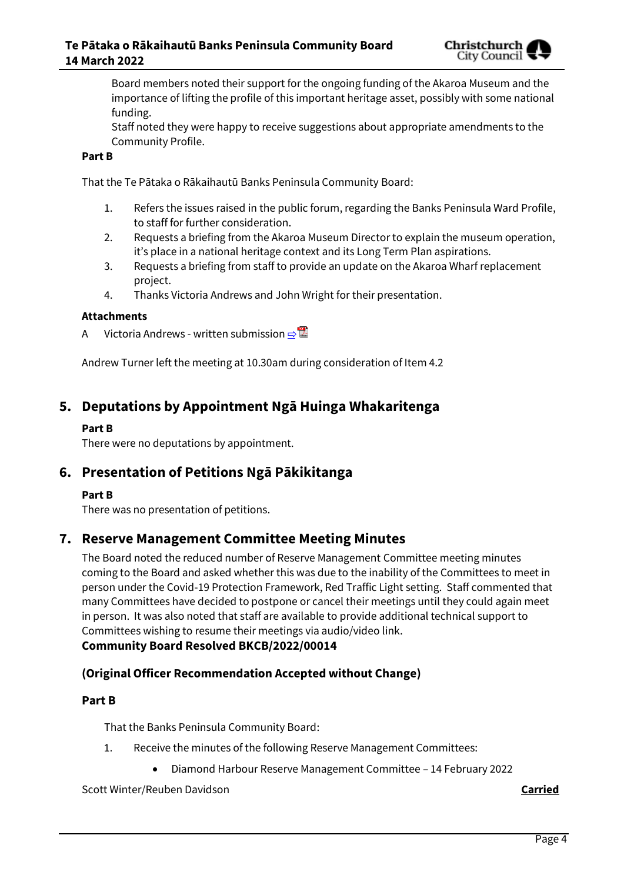

Board members noted their support for the ongoing funding of the Akaroa Museum and the importance of lifting the profile of this important heritage asset, possibly with some national funding.

Staff noted they were happy to receive suggestions about appropriate amendments to the Community Profile.

### **Part B**

That the Te Pātaka o Rākaihautū Banks Peninsula Community Board:

- 1. Refers the issues raised in the public forum, regarding the Banks Peninsula Ward Profile, to staff for further consideration.
- 2. Requests a briefing from the Akaroa Museum Director to explain the museum operation, it's place in a national heritage context and its Long Term Plan aspirations.
- 3. Requests a briefing from staff to provide an update on the Akaroa Wharf replacement project.
- 4. Thanks Victoria Andrews and John Wright for their presentation.

#### **Attachments**

A Victoria Andrews - written submission **[⇨](../../../RedirectToInvalidFileName.aspx?FileName=BKCB_20220314_MAT_7654.PDF#PAGE=6)</u>** 

Andrew Turner left the meeting at 10.30am during consideration of Item 4.2

### **5. Deputations by Appointment Ngā Huinga Whakaritenga**

#### **Part B**

There were no deputations by appointment.

### **6. Presentation of Petitions Ngā Pākikitanga**

### **Part B**

There was no presentation of petitions.

### **7. Reserve Management Committee Meeting Minutes**

The Board noted the reduced number of Reserve Management Committee meeting minutes coming to the Board and asked whether this was due to the inability of the Committees to meet in person under the Covid-19 Protection Framework, Red Traffic Light setting. Staff commented that many Committees have decided to postpone or cancel their meetings until they could again meet in person. It was also noted that staff are available to provide additional technical support to Committees wishing to resume their meetings via audio/video link.

### **Community Board Resolved BKCB/2022/00014**

### **(Original Officer Recommendation Accepted without Change)**

### **Part B**

That the Banks Peninsula Community Board:

- 1. Receive the minutes of the following Reserve Management Committees:
	- Diamond Harbour Reserve Management Committee 14 February 2022

Scott Winter/Reuben Davidson **Carried**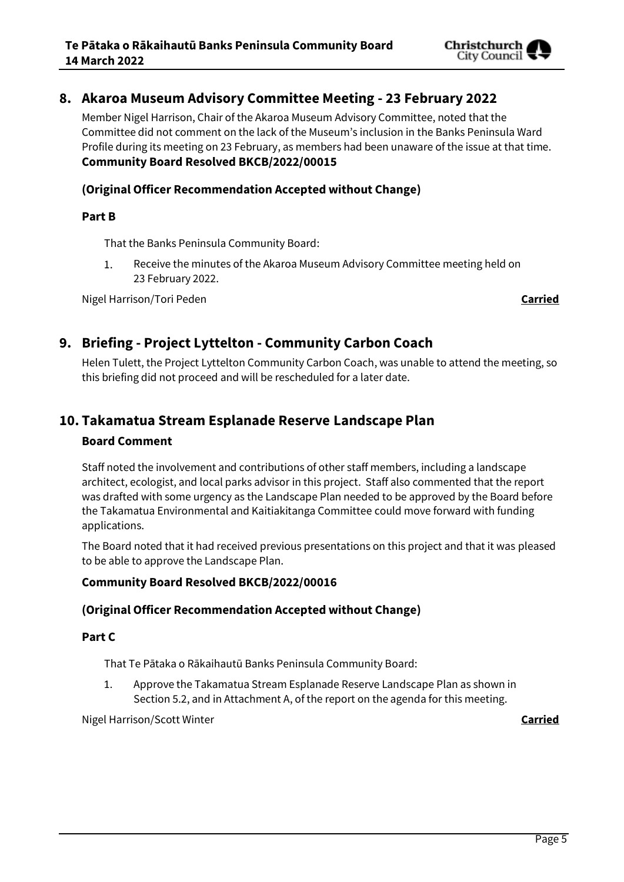

### **8. Akaroa Museum Advisory Committee Meeting - 23 February 2022**

Member Nigel Harrison, Chair of the Akaroa Museum Advisory Committee, noted that the Committee did not comment on the lack of the Museum's inclusion in the Banks Peninsula Ward Profile during its meeting on 23 February, as members had been unaware of the issue at that time. **Community Board Resolved BKCB/2022/00015**

### **(Original Officer Recommendation Accepted without Change)**

### **Part B**

That the Banks Peninsula Community Board:

Receive the minutes of the Akaroa Museum Advisory Committee meeting held on 1. 23 February 2022.

Nigel Harrison/Tori Peden **Carried**

### **9. Briefing - Project Lyttelton - Community Carbon Coach**

Helen Tulett, the Project Lyttelton Community Carbon Coach, was unable to attend the meeting, so this briefing did not proceed and will be rescheduled for a later date.

### **10. Takamatua Stream Esplanade Reserve Landscape Plan**

### **Board Comment**

Staff noted the involvement and contributions of other staff members, including a landscape architect, ecologist, and local parks advisor in this project. Staff also commented that the report was drafted with some urgency as the Landscape Plan needed to be approved by the Board before the Takamatua Environmental and Kaitiakitanga Committee could move forward with funding applications.

The Board noted that it had received previous presentations on this project and that it was pleased to be able to approve the Landscape Plan.

### **Community Board Resolved BKCB/2022/00016**

### **(Original Officer Recommendation Accepted without Change)**

### **Part C**

That Te Pātaka o Rākaihautū Banks Peninsula Community Board:

1. Approve the Takamatua Stream Esplanade Reserve Landscape Plan as shown in Section 5.2, and in Attachment A, of the report on the agenda for this meeting.

Nigel Harrison/Scott Winter **Carried**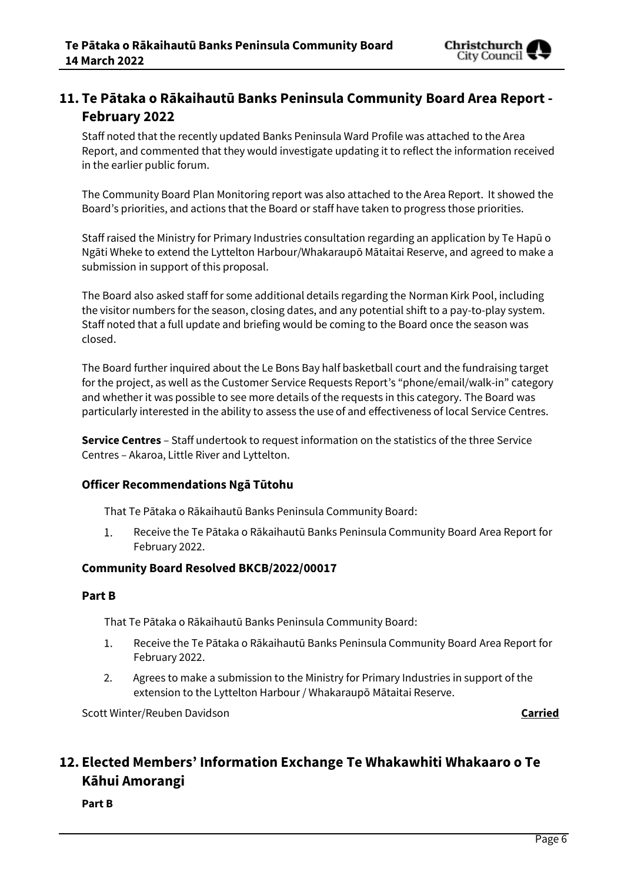## **11. Te Pātaka o Rākaihautū Banks Peninsula Community Board Area Report - February 2022**

Staff noted that the recently updated Banks Peninsula Ward Profile was attached to the Area Report, and commented that they would investigate updating it to reflect the information received in the earlier public forum.

The Community Board Plan Monitoring report was also attached to the Area Report. It showed the Board's priorities, and actions that the Board or staff have taken to progress those priorities.

Staff raised the Ministry for Primary Industries consultation regarding an application by Te Hapū o Ngāti Wheke to extend the Lyttelton Harbour/Whakaraupō Mātaitai Reserve, and agreed to make a submission in support of this proposal.

The Board also asked staff for some additional details regarding the Norman Kirk Pool, including the visitor numbers for the season, closing dates, and any potential shift to a pay-to-play system. Staff noted that a full update and briefing would be coming to the Board once the season was closed.

The Board further inquired about the Le Bons Bay half basketball court and the fundraising target for the project, as well as the Customer Service Requests Report's "phone/email/walk-in" category and whether it was possible to see more details of the requests in this category. The Board was particularly interested in the ability to assess the use of and effectiveness of local Service Centres.

**Service Centres** – Staff undertook to request information on the statistics of the three Service Centres – Akaroa, Little River and Lyttelton.

### **Officer Recommendations Ngā Tūtohu**

That Te Pātaka o Rākaihautū Banks Peninsula Community Board:

1. Receive the Te Pātaka o Rākaihautū Banks Peninsula Community Board Area Report for February 2022.

### **Community Board Resolved BKCB/2022/00017**

### **Part B**

That Te Pātaka o Rākaihautū Banks Peninsula Community Board:

- Receive the Te Pātaka o Rākaihautū Banks Peninsula Community Board Area Report for 1. February 2022.
- 2. Agrees to make a submission to the Ministry for Primary Industries in support of the extension to the Lyttelton Harbour / Whakaraupō Mātaitai Reserve.

Scott Winter/Reuben Davidson **Carried**

# **12. Elected Members' Information Exchange Te Whakawhiti Whakaaro o Te Kāhui Amorangi**

**Part B**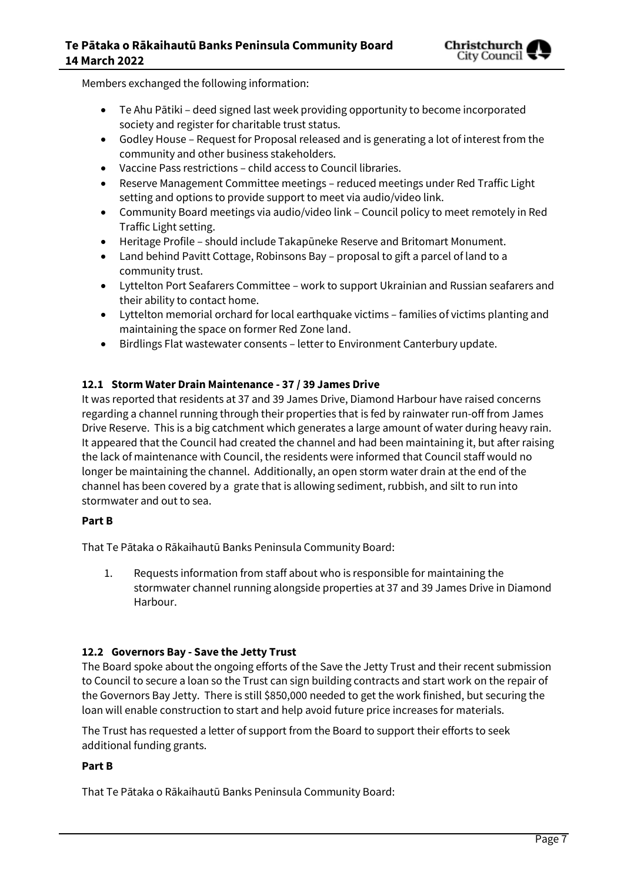

Members exchanged the following information:

- Te Ahu Pātiki deed signed last week providing opportunity to become incorporated society and register for charitable trust status.
- Godley House Request for Proposal released and is generating a lot of interest from the community and other business stakeholders.
- Vaccine Pass restrictions child access to Council libraries.
- Reserve Management Committee meetings reduced meetings under Red Traffic Light setting and options to provide support to meet via audio/video link.
- Community Board meetings via audio/video link Council policy to meet remotely in Red Traffic Light setting.
- Heritage Profile should include Takapūneke Reserve and Britomart Monument.
- Land behind Pavitt Cottage, Robinsons Bay proposal to gift a parcel of land to a community trust.
- Lyttelton Port Seafarers Committee work to support Ukrainian and Russian seafarers and their ability to contact home.
- Lyttelton memorial orchard for local earthquake victims families of victims planting and maintaining the space on former Red Zone land.
- Birdlings Flat wastewater consents letter to Environment Canterbury update.

### **12.1 Storm Water Drain Maintenance - 37 / 39 James Drive**

It was reported that residents at 37 and 39 James Drive, Diamond Harbour have raised concerns regarding a channel running through their properties that is fed by rainwater run-off from James Drive Reserve. This is a big catchment which generates a large amount of water during heavy rain. It appeared that the Council had created the channel and had been maintaining it, but after raising the lack of maintenance with Council, the residents were informed that Council staff would no longer be maintaining the channel. Additionally, an open storm water drain at the end of the channel has been covered by a grate that is allowing sediment, rubbish, and silt to run into stormwater and out to sea.

### **Part B**

That Te Pātaka o Rākaihautū Banks Peninsula Community Board:

1. Requests information from staff about who is responsible for maintaining the stormwater channel running alongside properties at 37 and 39 James Drive in Diamond Harbour.

### **12.2 Governors Bay - Save the Jetty Trust**

The Board spoke about the ongoing efforts of the Save the Jetty Trust and their recent submission to Council to secure a loan so the Trust can sign building contracts and start work on the repair of the Governors Bay Jetty. There is still \$850,000 needed to get the work finished, but securing the loan will enable construction to start and help avoid future price increases for materials.

The Trust has requested a letter of support from the Board to support their efforts to seek additional funding grants.

### **Part B**

That Te Pātaka o Rākaihautū Banks Peninsula Community Board: